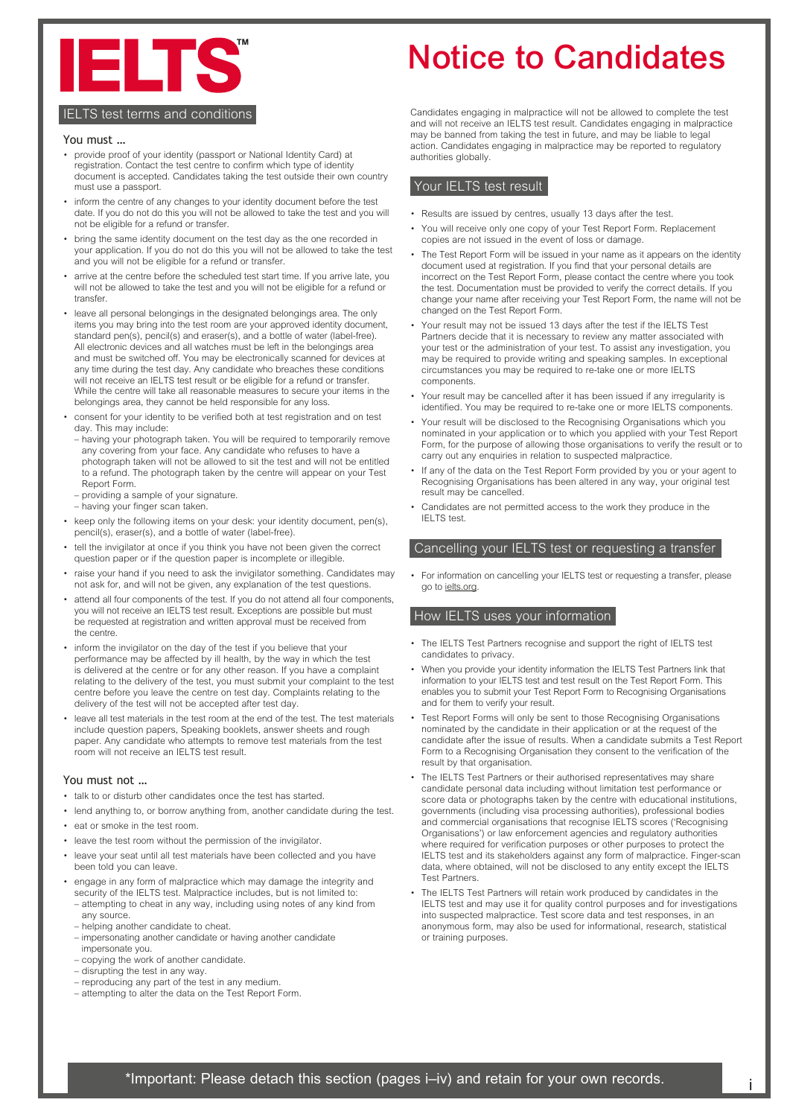

# **IELTS test terms and conditions**

#### You must …

- provide proof of your identity (passport or National Identity Card) at registration. Contact the test centre to confirm which type of identity document is accepted. Candidates taking the test outside their own country must use a passport.
- inform the centre of any changes to your identity document before the test date. If you do not do this you will not be allowed to take the test and you will not be eligible for a refund or transfer.
- bring the same identity document on the test day as the one recorded in your application. If you do not do this you will not be allowed to take the test and you will not be eligible for a refund or transfer.
- arrive at the centre before the scheduled test start time. If you arrive late, you will not be allowed to take the test and you will not be eligible for a refund or transfer.
- leave all personal belongings in the designated belongings area. The only items you may bring into the test room are your approved identity document, standard pen(s), pencil(s) and eraser(s), and a bottle of water (label-free). All electronic devices and all watches must be left in the belongings area and must be switched off. You may be electronically scanned for devices at any time during the test day. Any candidate who breaches these conditions will not receive an IELTS test result or be eligible for a refund or transfer. While the centre will take all reasonable measures to secure your items in the belongings area, they cannot be held responsible for any loss.
- consent for your identity to be verified both at test registration and on test day. This may include:
- having your photograph taken. You will be required to temporarily remove any covering from your face. Any candidate who refuses to have a photograph taken will not be allowed to sit the test and will not be entitled to a refund. The photograph taken by the centre will appear on your Test Report Form.
- providing a sample of your signature.
- having your finger scan taken.
- keep only the following items on your desk: your identity document, pen(s), pencil(s), eraser(s), and a bottle of water (label-free).
- tell the invigilator at once if you think you have not been given the correct question paper or if the question paper is incomplete or illegible.
- raise your hand if you need to ask the invigilator something. Candidates may not ask for, and will not be given, any explanation of the test questions.
- attend all four components of the test. If you do not attend all four components, you will not receive an IELTS test result. Exceptions are possible but must be requested at registration and written approval must be received from the centre.
- inform the invigilator on the day of the test if you believe that your performance may be affected by ill health, by the way in which the test is delivered at the centre or for any other reason. If you have a complaint relating to the delivery of the test, you must submit your complaint to the test centre before you leave the centre on test day. Complaints relating to the delivery of the test will not be accepted after test day.
- leave all test materials in the test room at the end of the test. The test materials include question papers, Speaking booklets, answer sheets and rough paper. Any candidate who attempts to remove test materials from the test room will not receive an IELTS test result.

# You must not …

- talk to or disturb other candidates once the test has started.
- lend anything to, or borrow anything from, another candidate during the test.
- eat or smoke in the test room
- leave the test room without the permission of the invigilator.
- leave your seat until all test materials have been collected and you have been told you can leave.
- engage in any form of malpractice which may damage the integrity and security of the IELTS test. Malpractice includes, but is not limited to: – attempting to cheat in any way, including using notes of any kind from any source.
- helping another candidate to cheat.
- impersonating another candidate or having another candidate impersonate you.
- copying the work of another candidate.
- disrupting the test in any way.
- reproducing any part of the test in any medium.
- attempting to alter the data on the Test Report Form.

# Notice to Candidates

Candidates engaging in malpractice will not be allowed to complete the test and will not receive an IELTS test result. Candidates engaging in malpractice may be banned from taking the test in future, and may be liable to legal action. Candidates engaging in malpractice may be reported to regulatory authorities globally.

# Your IELTS test result

- Results are issued by centres, usually 13 days after the test.
- You will receive only one copy of your Test Report Form. Replacement copies are not issued in the event of loss or damage.
- The Test Report Form will be issued in your name as it appears on the identity document used at registration. If you find that your personal details are incorrect on the Test Report Form, please contact the centre where you took the test. Documentation must be provided to verify the correct details. If you change your name after receiving your Test Report Form, the name will not be changed on the Test Report Form.
- Your result may not be issued 13 days after the test if the IELTS Test Partners decide that it is necessary to review any matter associated with your test or the administration of your test. To assist any investigation, you may be required to provide writing and speaking samples. In exceptional circumstances you may be required to re-take one or more IELTS components.
- Your result may be cancelled after it has been issued if any irregularity is identified. You may be required to re-take one or more IELTS components.
- Your result will be disclosed to the Recognising Organisations which you nominated in your application or to which you applied with your Test Report Form, for the purpose of allowing those organisations to verify the result or to carry out any enquiries in relation to suspected malpractice.
- If any of the data on the Test Report Form provided by you or your agent to Recognising Organisations has been altered in any way, your original test result may be cancelled.
- Candidates are not permitted access to the work they produce in the IELTS test.

## Cancelling your IELTS test or requesting a transfer

• For information on cancelling your IELTS test or requesting a transfer, please go to [ielts.org](http://ielts.org).

# How IELTS uses your information

- The IELTS Test Partners recognise and support the right of IELTS test candidates to privacy.
- When you provide your identity information the IELTS Test Partners link that information to your IELTS test and test result on the Test Report Form. This enables you to submit your Test Report Form to Recognising Organisations and for them to verify your result.
- Test Report Forms will only be sent to those Recognising Organisations nominated by the candidate in their application or at the request of the candidate after the issue of results. When a candidate submits a Test Report Form to a Recognising Organisation they consent to the verification of the result by that organisation.
- The IELTS Test Partners or their authorised representatives may share candidate personal data including without limitation test performance or score data or photographs taken by the centre with educational institutions, governments (including visa processing authorities), professional bodies and commercial organisations that recognise IELTS scores ('Recognising Organisations') or law enforcement agencies and regulatory authorities where required for verification purposes or other purposes to protect the IELTS test and its stakeholders against any form of malpractice. Finger-scan data, where obtained, will not be disclosed to any entity except the IELTS Test Partners.
- The IELTS Test Partners will retain work produced by candidates in the IELTS test and may use it for quality control purposes and for investigations into suspected malpractice. Test score data and test responses, in an anonymous form, may also be used for informational, research, statistical or training purposes.